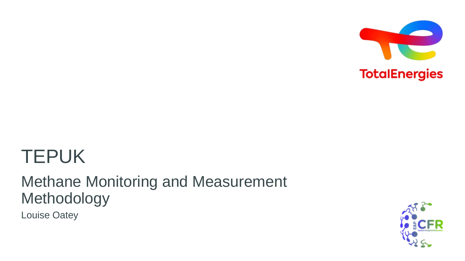

# TEPUK

# Methane Monitoring and Measurement Methodology

Louise Oatey

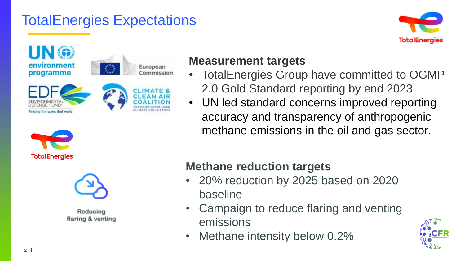## TotalEnergies Expectations









Reducing flaring & venting

#### **Measurement targets**

- TotalEnergies Group have committed to OGMP 2.0 Gold Standard reporting by end 2023
- UN led standard concerns improved reporting accuracy and transparency of anthropogenic methane emissions in the oil and gas sector.

### **Methane reduction targets**

- 20% reduction by 2025 based on 2020 baseline
- Campaign to reduce flaring and venting emissions
- Methane intensity below 0.2%

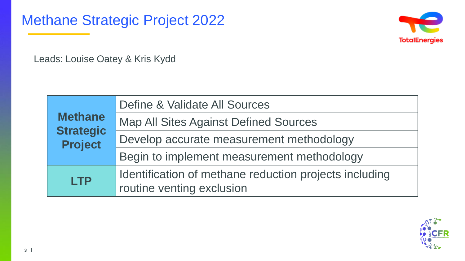Methane Strategic Project 2022



Leads: Louise Oatey & Kris Kydd

| <b>Methane</b><br><b>Strategic</b><br><b>Project</b> | Define & Validate All Sources                          |
|------------------------------------------------------|--------------------------------------------------------|
|                                                      | <b>Map All Sites Against Defined Sources</b>           |
|                                                      | Develop accurate measurement methodology               |
|                                                      | Begin to implement measurement methodology             |
| <b>LTP</b>                                           | Identification of methane reduction projects including |
|                                                      | routine venting exclusion                              |

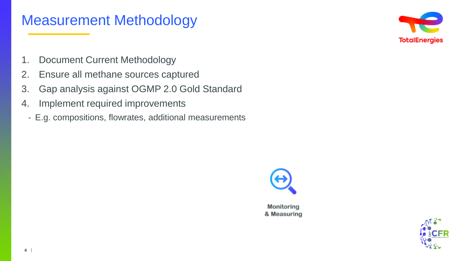### Measurement Methodology



- 1. Document Current Methodology
- 2. Ensure all methane sources captured
- 3. Gap analysis against OGMP 2.0 Gold Standard
- 4. Implement required improvements
	- E.g. compositions, flowrates, additional measurements



Monitoring & Measuring

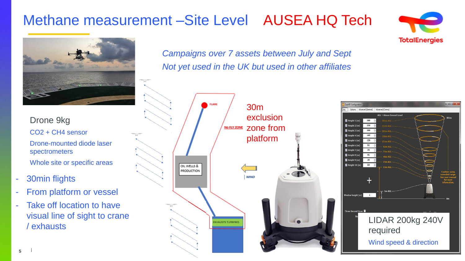## Methane measurement –Site Level AUSEA HQ Tech



Drone 9kg CO2 + CH4 sensor Drone-mounted diode laser spectrometers Whole site or specific areas

- 30min flights
- From platform or vessel
- Take off location to have visual line of sight to crane / exhausts

*Campaigns over 7 assets between July and Sept Not yet used in the UK but used in other affiliates*



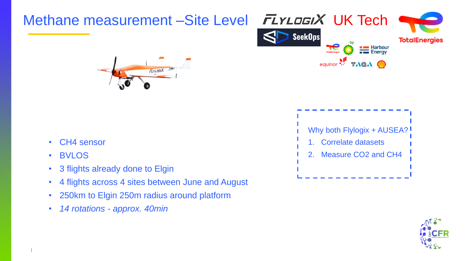

- 250km to Elgin 250m radius around platform
- *14 rotations - approx. 40min*